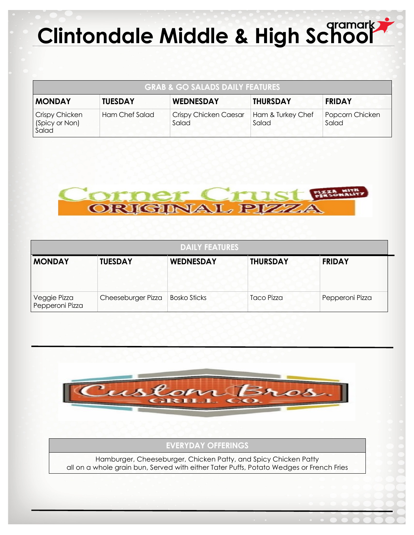## **Clintondale Middle & High School**

| <b>GRAB &amp; GO SALADS DAILY FEATURES</b> |                |                                       |                            |                          |  |  |  |
|--------------------------------------------|----------------|---------------------------------------|----------------------------|--------------------------|--|--|--|
| <b>MONDAY</b>                              | <b>TUESDAY</b> | <b>WEDNESDAY</b>                      | <b>THURSDAY</b>            | <b>FRIDAY</b>            |  |  |  |
| Crispy Chicken<br>(Spicy or Non)<br>Salad  | Ham Chef Salad | <b>Crispy Chicken Caesar</b><br>Salad | Ham & Turkey Chef<br>Salad | Popcorn Chicken<br>Salad |  |  |  |



| <b>DAILY FEATURES</b>           |                    |                     |                 |                 |  |  |  |
|---------------------------------|--------------------|---------------------|-----------------|-----------------|--|--|--|
| <b>MONDAY</b>                   | <b>TUESDAY</b>     | <b>WEDNESDAY</b>    | <b>THURSDAY</b> | <b>FRIDAY</b>   |  |  |  |
| Veggie Pizza<br>Pepperoni Pizza | Cheeseburger Pizza | <b>Bosko Sticks</b> | Taco Pizza      | Pepperoni Pizza |  |  |  |



## **EVERYDAY OFFERINGS**

Hamburger, Cheeseburger, Chicken Patty, and Spicy Chicken Patty all on a whole grain bun, Served with either Tater Puffs, Potato Wedges or French Fries